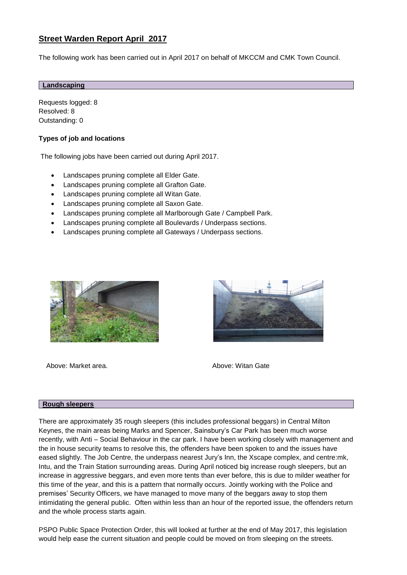# **Street Warden Report April 2017**

The following work has been carried out in April 2017 on behalf of MKCCM and CMK Town Council.

#### **Landscaping**

Requests logged: 8 Resolved: 8 Outstanding: 0

## **Types of job and locations**

The following jobs have been carried out during April 2017.

- Landscapes pruning complete all Elder Gate.
- Landscapes pruning complete all Grafton Gate.
- Landscapes pruning complete all Witan Gate.
- Landscapes pruning complete all Saxon Gate.
- Landscapes pruning complete all Marlborough Gate / Campbell Park.
- Landscapes pruning complete all Boulevards / Underpass sections.
- Landscapes pruning complete all Gateways / Underpass sections.



Above: Market area. Above: Witan Gate



#### **Rough sleepers**

There are approximately 35 rough sleepers (this includes professional beggars) in Central Milton Keynes, the main areas being Marks and Spencer, Sainsbury's Car Park has been much worse recently, with Anti – Social Behaviour in the car park. I have been working closely with management and the in house security teams to resolve this, the offenders have been spoken to and the issues have eased slightly. The Job Centre, the underpass nearest Jury's Inn, the Xscape complex, and centre:mk, Intu, and the Train Station surrounding areas. During April noticed big increase rough sleepers, but an increase in aggressive beggars, and even more tents than ever before, this is due to milder weather for this time of the year, and this is a pattern that normally occurs. Jointly working with the Police and premises' Security Officers, we have managed to move many of the beggars away to stop them intimidating the general public. Often within less than an hour of the reported issue, the offenders return and the whole process starts again.

PSPO Public Space Protection Order, this will looked at further at the end of May 2017, this legislation would help ease the current situation and people could be moved on from sleeping on the streets.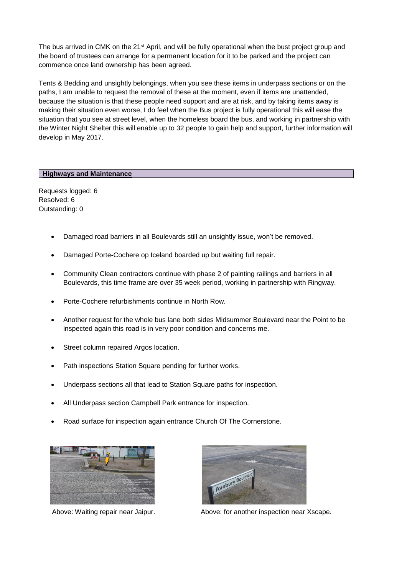The bus arrived in CMK on the 21<sup>st</sup> April, and will be fully operational when the bust project group and the board of trustees can arrange for a permanent location for it to be parked and the project can commence once land ownership has been agreed.

Tents & Bedding and unsightly belongings, when you see these items in underpass sections or on the paths, I am unable to request the removal of these at the moment, even if items are unattended, because the situation is that these people need support and are at risk, and by taking items away is making their situation even worse, I do feel when the Bus project is fully operational this will ease the situation that you see at street level, when the homeless board the bus, and working in partnership with the Winter Night Shelter this will enable up to 32 people to gain help and support, further information will develop in May 2017.

### **Highways and Maintenance**

Requests logged: 6 Resolved: 6 Outstanding: 0

- Damaged road barriers in all Boulevards still an unsightly issue, won't be removed.
- Damaged Porte-Cochere op Iceland boarded up but waiting full repair.
- Community Clean contractors continue with phase 2 of painting railings and barriers in all Boulevards, this time frame are over 35 week period, working in partnership with Ringway.
- Porte-Cochere refurbishments continue in North Row.
- Another request for the whole bus lane both sides Midsummer Boulevard near the Point to be inspected again this road is in very poor condition and concerns me.
- Street column repaired Argos location.
- Path inspections Station Square pending for further works.
- Underpass sections all that lead to Station Square paths for inspection.
- All Underpass section Campbell Park entrance for inspection.
- Road surface for inspection again entrance Church Of The Cornerstone.





Above: Waiting repair near Jaipur. Above: for another inspection near Xscape.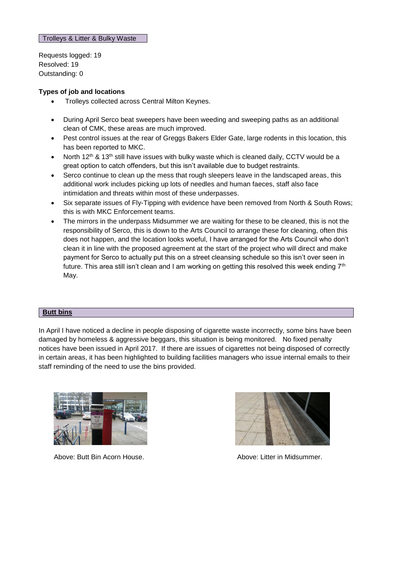Requests logged: 19 Resolved: 19 Outstanding: 0

## **Types of job and locations**

- Trolleys collected across Central Milton Keynes.
- During April Serco beat sweepers have been weeding and sweeping paths as an additional clean of CMK, these areas are much improved.
- Pest control issues at the rear of Greggs Bakers Elder Gate, large rodents in this location, this has been reported to MKC.
- North  $12^{th}$  &  $13^{th}$  still have issues with bulky waste which is cleaned daily, CCTV would be a great option to catch offenders, but this isn't available due to budget restraints.
- Serco continue to clean up the mess that rough sleepers leave in the landscaped areas, this additional work includes picking up lots of needles and human faeces, staff also face intimidation and threats within most of these underpasses.
- Six separate issues of Fly-Tipping with evidence have been removed from North & South Rows; this is with MKC Enforcement teams.
- The mirrors in the underpass Midsummer we are waiting for these to be cleaned, this is not the responsibility of Serco, this is down to the Arts Council to arrange these for cleaning, often this does not happen, and the location looks woeful, I have arranged for the Arts Council who don't clean it in line with the proposed agreement at the start of the project who will direct and make payment for Serco to actually put this on a street cleansing schedule so this isn't over seen in future. This area still isn't clean and I am working on getting this resolved this week ending  $7<sup>th</sup>$ May.

#### **Butt bins**

In April I have noticed a decline in people disposing of cigarette waste incorrectly, some bins have been damaged by homeless & aggressive beggars, this situation is being monitored. No fixed penalty notices have been issued in April 2017. If there are issues of cigarettes not being disposed of correctly in certain areas, it has been highlighted to building facilities managers who issue internal emails to their staff reminding of the need to use the bins provided.



Above: Butt Bin Acorn House. Above: Litter in Midsummer.

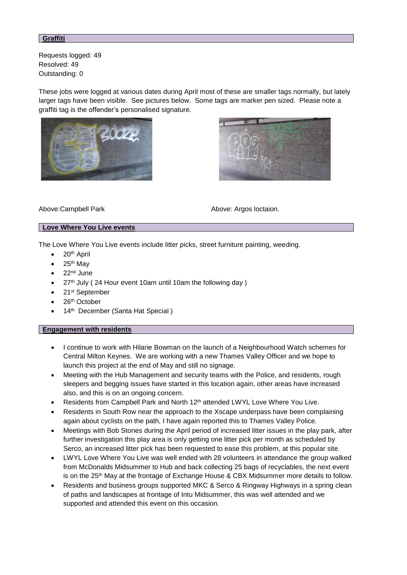#### **Graffiti**

Requests logged: 49 Resolved: 49 Outstanding: 0

These jobs were logged at various dates during April most of these are smaller tags normally, but lately larger tags have been visible. See pictures below. Some tags are marker pen sized. Please note a graffiti tag is the offender's personalised signature.





Above:Campbell Park Above: Argos loctaion.

## **Love Where You Live events**

The Love Where You Live events include litter picks, street furniture painting, weeding.

- 20<sup>th</sup> April
- 25th May
- $\bullet$  22<sup>nd</sup> June
- 27<sup>th</sup> July (24 Hour event 10am until 10am the following day)
- 21<sup>st</sup> September
- 26<sup>th</sup> October
- 14<sup>th</sup> December (Santa Hat Special)

#### **Engagement with residents**

- I continue to work with Hilarie Bowman on the launch of a Neighbourhood Watch schemes for Central Milton Keynes. We are working with a new Thames Valley Officer and we hope to launch this project at the end of May and still no signage.
- Meeting with the Hub Management and security teams with the Police, and residents, rough sleepers and begging issues have started in this location again, other areas have increased also, and this is on an ongoing concern.
- Residents from Campbell Park and North 12th attended LWYL Love Where You Live.
- Residents in South Row near the approach to the Xscape underpass have been complaining again about cyclists on the path, I have again reported this to Thames Valley Police.
- Meetings with Bob Stones during the April period of increased litter issues in the play park, after further investigation this play area is only getting one litter pick per month as scheduled by Serco, an increased litter pick has been requested to ease this problem, at this popular site.
- LWYL Love Where You Live was well ended with 28 volunteers in attendance the group walked from McDonalds Midsummer to Hub and back collecting 25 bags of recyclables, the next event is on the 25<sup>th</sup> May at the frontage of Exchange House & CBX Midsummer more details to follow.
- Residents and business groups supported MKC & Serco & Ringway Highways in a spring clean of paths and landscapes at frontage of Intu Midsummer, this was well attended and we supported and attended this event on this occasion.